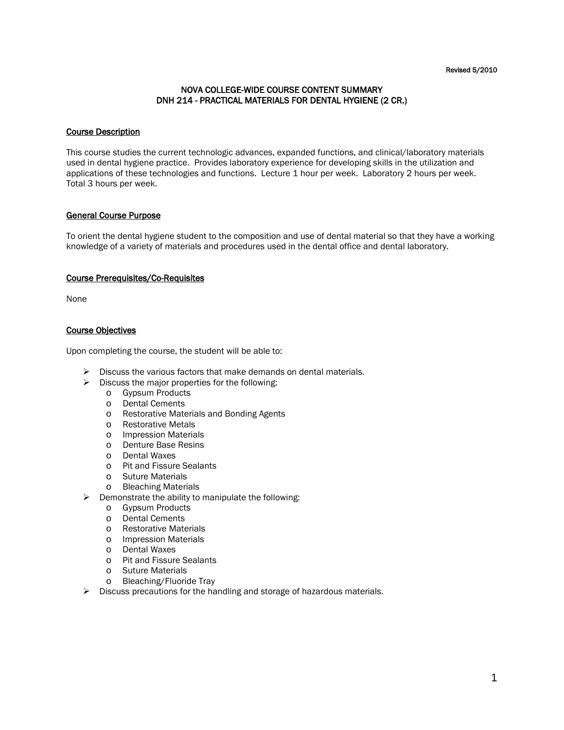#### Revised 5/2010

# NOVA COLLEGE-WIDE COURSE CONTENT SUMMARY DNH 214 - PRACTICAL MATERIALS FOR DENTAL HYGIENE (2 CR.)

# Course Description

This course studies the current technologic advances, expanded functions, and clinical/laboratory materials used in dental hygiene practice. Provides laboratory experience for developing skills in the utilization and applications of these technologies and functions. Lecture 1 hour per week. Laboratory 2 hours per week. Total 3 hours per week.

### General Course Purpose

To orient the dental hygiene student to the composition and use of dental material so that they have a working knowledge of a variety of materials and procedures used in the dental office and dental laboratory.

#### Course Prerequisites/Co-Requisites

None

# Course Objectives

Upon completing the course, the student will be able to:

- $\triangleright$  Discuss the various factors that make demands on dental materials.
- $\triangleright$  Discuss the major properties for the following:
	- o Gypsum Products
	- o Dental Cements
	- o Restorative Materials and Bonding Agents
	- o Restorative Metals
	- o Impression Materials
	- o Denture Base Resins
	- o Dental Waxes
	- o Pit and Fissure Sealants
	- o Suture Materials
	- o Bleaching Materials
- $\triangleright$  Demonstrate the ability to manipulate the following:
	- o Gypsum Products
	- o Dental Cements
	- o Restorative Materials
	- o Impression Materials
	- o Dental Waxes
	- o Pit and Fissure Sealants
	- o Suture Materials
	- o Bleaching/Fluoride Tray
- $\triangleright$  Discuss precautions for the handling and storage of hazardous materials.